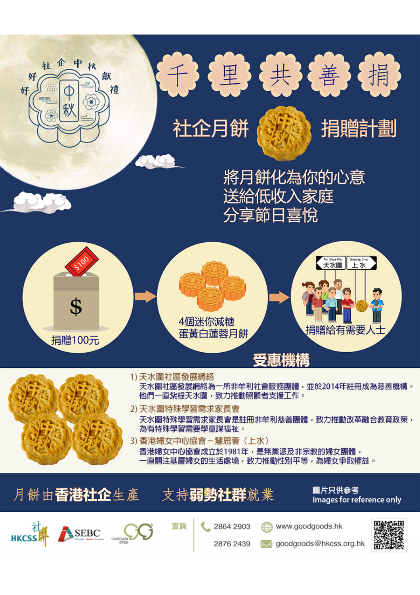



社企月餅



捐贈計劃

將月餅化為你的心意 送給低收入家庭 分享節日喜悅





1)天水圍社區發展網絡

天水圍社區發展網絡為一所非牟利社會服務團體,並於2014年註冊成為慈善機構。 他們一直紮根天水圍,致力推動照顧者支援工作。

2) 天水圍特殊學習需求家長會 天水圍特殊學習需求家長會是註冊非牟利慈善團體,致力推動改革融合教育政策, 為有特殊學習需要學童謀福祉。

3) 香港婦女中心協會-慧思薈 (上水) 香港婦女中心協會成立於1981年,是無黨派及非宗教的婦女團體, 一直關注基層婦女的生活處境,致力推動性別平等,為婦女爭取權益。

月餅由香港社企生產

支持弱勢社群就業

圖片只供參考 Images for reference only





查詢

2864 2903

2876 2439

www.goodgoods.hk

oodgoods@hkcss.org.hk

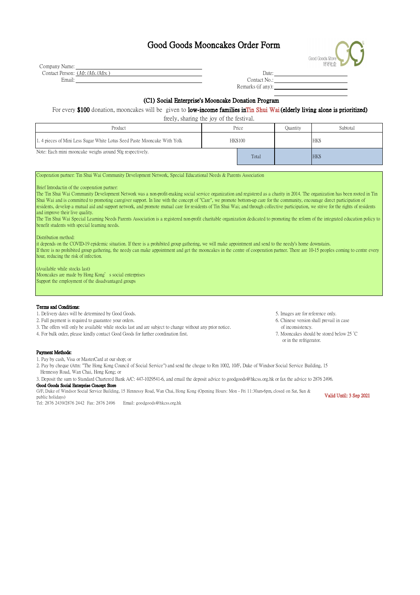## Good Goods Mooncakes Order Form

| Good Goods Store<br>好好社企 |  |
|--------------------------|--|
|                          |  |

| Company Name:                             |              |
|-------------------------------------------|--------------|
| Contact Person: ( <i>Mr.  Ms.  Mrs.</i> ) | Date:        |
| Email:                                    | Contact No.: |

| Contact No.:      |
|-------------------|
| Remarks (if any): |

### (C1) Social Enterprise's Mooncake Donation Program

### For every \$100 donation, mooncakes will be given to low-income families in Tin Shui Wai (elderly living alone is prioritized)

| freely, sharing the joy of the festival.                                |                |       |          |            |  |
|-------------------------------------------------------------------------|----------------|-------|----------|------------|--|
| Product                                                                 | Price          |       | Quantity | Subtotal   |  |
| 1.4 pieces of Mini Less Sugar White Lotus Seed Paste Mooncake With Yolk | <b>HK\$100</b> |       |          | <b>HKS</b> |  |
| Note: Each mini mooncake weighs around 50g respectively.                |                | Total |          | HK\$       |  |

Cooperation partner: Tin Shui Wai Community Development Network, Special Educational Needs & Parents Association

Brief Introductin of the cooperation partner:

The Tin Shui Wai Community Development Network was a non-profit-making social service organization and registered as a charity in 2014. The organization has been rooted in Tin Shui Wai and is committed to promoting caregiver support. In line with the concept of "Care", we promote bottom-up care for the community, encourage direct participation of residents, develop a mutual aid and support network, and promote mutual care for residents of Tin Shui Wai; and through collective participation, we strive for the rights of residents and improve their live quality.

The Tin Shui Wai Special Learning Needs Parents Association is a registered non-profit charitable organization dedicated to promoting the reform of the integrated education policy to benefit students with special learning needs.

Distribution method:

it depends on the COVID-19 epidemic situation. If there is a prohibited group gathering, we will make appointment and send to the needy's home downstairs. If there is no prohibited group gathering, the needy can make appointment and get the mooncakes in the centre of cooperation partner. There are 10-15 peoples coming to centre every hour, reducing the risk of infection.

(Available while stocks last)

Mooncakes are made by Hong Kong's social enterprises Support the employment of the disadvantaged groups

#### Terms and Conditions:

1. Delivery dates will be determined by Good Goods. 5. Images are for reference only.

2. Full payment is required to guarantee your orders.

3. The offers will only be available while stocks last and are subject to change without any prior notice.

4. For bulk order, please kindly contact Good Goods for further coordination first.

- Payment Methods:
- 1. Pay by cash, Visa or MasterCard at our shop; or

2. Pay by cheque (Attn: "The Hong Kong Council of Social Service") and send the cheque to Rm 1002, 10/F, Duke of Windsor Social Service Building, 15

Hennessy Road, Wan Chai, Hong Kong; or

3. Deposit the sum to Standard Chartered Bank A/C: 447-1029541-6, and email the deposit advice to goodgoods@hkcss.org.hk or fax the advice to 2876 2496.

#### Good Goods Social Enterprise Concept Store

G/F, Duke of Windsor Social Service Building, 15 Hennessy Road, Wan Chai, Hong Kong (Opening Hours: Mon - Fri 11:30am-6pm, closed on Sat, Sun & public holidays) Valid Until: 3 Sep 2021

Tel: 2876 2439/2876 2442 Fax: 2876 2496 Email: goodgoods@hkcss.org.hk

- 6. Chinese version shall prevail in case
- of inconsistency.
- 7. Mooncakes should be stored below 25 °C or in the refrigerator.